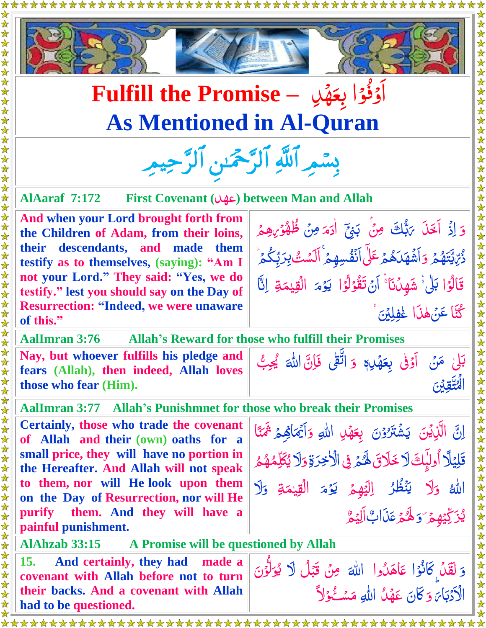



## **Fulfill the Promise –** دِ ه  $\overline{A}$ ا<br>ا آؤُوْا بِعَ <u>ُ)</u><br>۔ وُ<br>ف اُ<br>ا **As Mentioned in Al-Quran**

بِسْمِرِ اللَّهِ الرَّحْمَٰنِ الرَّحِيمِرِ

**AlAaraf 7:172 First Covenant (**دِعه **(between Man and Allah**

**And when your Lord brought forth from the Children of Adam, from their loins, their descendants, and made them testify as to themselves, (saying): "Am I not your Lord." They said: "Yes, we do testify." lest you should say on the Day of Resurrection: "Indeed, we were unaware of this."** 

وَ إِذْ <mark>أَخَلَ</mark> يَهُّلُكَ <u>رّ</u> بإعا .<br>ג ِ الْبَلْ<sup>ِي</sup> مِنْ بَنِيِّ<br>بَ  $\tilde{\cdot}$ ر<br>, م <u>آ</u> اٰدَمَ مِنۡ ظُهُوۡرِهِمۡ  $\frac{1}{2}$ ۔<br>گ <u>أ</u>  $\overline{\mathcal{L}}$ ۔<br>اگر م ه َ ي ِ ر ذ  $\overline{\mathcal{L}}$ ِ<br>ِ ر<br>ا ر<br>ز رُ <u>ُ</u> وَ اَشَّهَدَهُمْ عَلَى اَنْفُسِهِمْ ۚ اَلَسْتُ بِرَبِّكُمۡ ۚ ِ<br>م **غ** ۔<br>ا **ُ** ۔<br>اگر <u>تي</u><br>ح بالمعا ڹؚڔۜڸۨ<mark>۪</mark>ڬؙۮ<sup>ؙ</sup> قَالُوَا بَلْيُّ شَهِدُنَا َ آنْ تَقُوْلُوَا <u>ُز</u> اُ<br>ا  $\ddot{\phantom{0}}$ ے<br>ا <u>ُز</u> ا َ<br>ا ل <u>أ</u> م<br>م ر<br>ا يَرۡمَ الۡقِيۡمَةِ <u>ُز</u> ر<br>م الۡقِيٰمَةِ ۚ اِنَّا ٰ  $\ddot{\phantom{0}}$ ُنَّتَا عَنۡهٰذَا غٰفِلِيۡنَ ٗ  $\ddot{\ddot{\delta}}$  $\ddot{\cdot}$ 

**AalImran 3:76 Allah's Reward for those who fulfill their Promises**

**Nay, but whoever fulfills his pledge and fears (Allah), then indeed, Allah loves those who fear (Him).**

بَلْیٰ مَنۡ اَوۡفٰی بِعَهۡلِہٖ<br>ۦ  $\ddot{\cdot}$ <u>ُ</u> 1  $\tilde{\mathcal{A}}$ ا<br>د بِعَهْلِِم وَ اتَّقٰی فَاِنَّ ڗ  $\ddot{\cdot}$ اللَّٰہَ يُجِبُّ **شاع**  $\ddot{ }$  $\frac{1}{2}$ الْمُتَّقِ<u>ينَ</u>

ٰ

الم<br>ا

 $\ddot{z}$ 

**AalImran 3:77 Allah's Punishmnet for those who break their Promises**

**Certainly, those who trade the covenant of Allah and their (own) oaths for a small price, they will have no portion in the Hereafter. And Allah will not speak to them, nor will He look upon them on the Day of Resurrection, nor will He purify them. And they will have a painful punishment.** 

اِنَّ الَّذِيۡنَ  $\ddot{\cdot}$  $\tilde{\zeta}$ يَشُتَرُوۡنَ بِعَهَٰلِ ُ  $\tilde{\mathcal{A}}$ <u>َّ</u> بِعَهۡلِ اللّٰہِ <u>ُ</u> وَأَيْهَاهِمْ ہ<br>گ اَيۡمَاهِمۡ ثَمۡنَا قَلِيۡلًا اُولیۡكَ لَا خَلَاقَ لَهُمۡ فِى الۡلَّٰخِرَةِ وَلَا يُكَلِّمُهُمُّ  $\frac{1}{2}$  $\overline{r}$ ا<br>⊾م <u>ُ</u> ہ<br>گ ∫<br>¦ **گر**<br>گر  $\overline{\mathcal{L}}$ **∕**  $\frac{1}{2}$ <u>مَ</u> الله <mark>دَلا</mark> وَلَا يَنْظُرُ الِيَهِمْ ر<br>ر ֞֞׆<br>ׇ ر د<br>پيد ل ا ر<br>گ ر<br>ا يَوۡمَ الۡقِيۡمَةِ <u>أ</u> ٰ مَةِ <mark>وَ</mark>لا و ر<br>گ ؽ<sub>ڗؘڴؽۿ</sub>؏ یک<br>نا َ و م َل ہ<br>گ <u>ُ</u> َذاب َ ع  $\tilde{\mathcal{L}}$ م ي ِ اَل ֞֞֝׆<br>֝

**AlAhzab 33:15 A Promise will be questioned by Allah** 

**15. And certainly, they had made a covenant with Allah before not to turn their backs. And a covenant with Allah had to be questioned.**

وَ لَقَدْ كَانُوۡا عَاهَدُوا ِ <u>ُز</u> ام<br>م <u>أ</u> اللهَ مِنۡ قَبۡلُ لَا يُوَلُّوۡنَ<br>مُسَمَّدُ  $\tilde{\cdot}$ ֞׆<br>֧ ِ<br>پر ڏڻ <u>ز</u> ú, ֧֧֪֪֧֧֪֧֧֧֧֧֓֝֝֓֝֝֟֓֝֬֝֟֓֝֬֝֬֟֓֝֬֝֬֟<br><del>֓</del> ل <u>َ</u><br>ا و<br>بو ا<br>ا <u>ل</u><br>ک الْأَدۡبَاۤءَ وَ ب ر<br>د و كَانَ عَهْلُ اللّٰهِ مَسْــُوۡلاَ <u>أ</u> <u>أ</u> ر<br>ا Í Ĵ